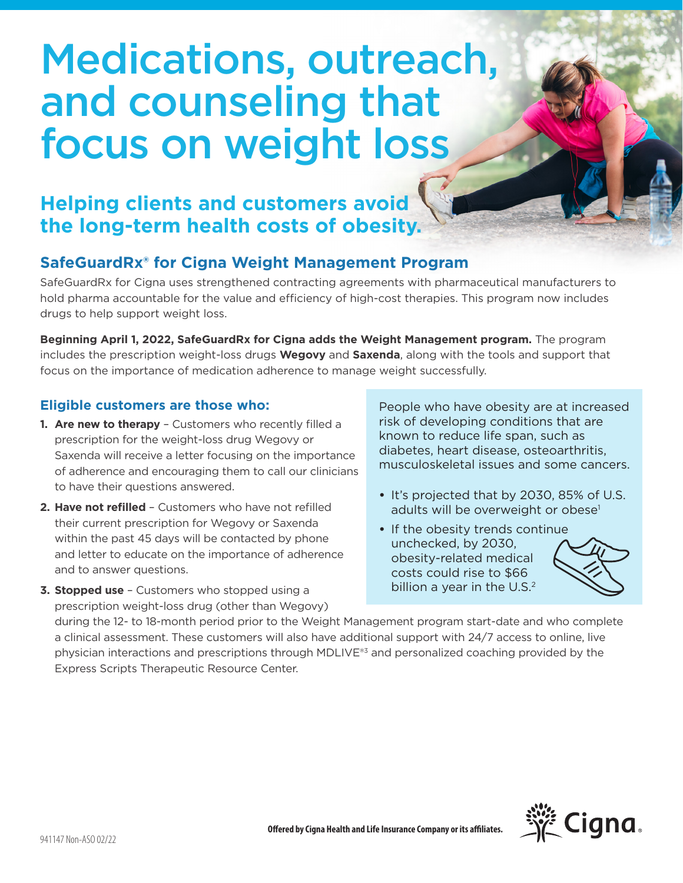# Medications, outreach, and counseling that focus on weight loss

## **Helping clients and customers avoid the long-term health costs of obesity.**

## **SafeGuardRx® for Cigna Weight Management Program**

SafeGuardRx for Cigna uses strengthened contracting agreements with pharmaceutical manufacturers to hold pharma accountable for the value and efficiency of high-cost therapies. This program now includes drugs to help support weight loss.

**Beginning April 1, 2022, SafeGuardRx for Cigna adds the Weight Management program.** The program includes the prescription weight-loss drugs **Wegovy** and **Saxenda**, along with the tools and support that focus on the importance of medication adherence to manage weight successfully.

### **Eligible customers are those who:**

- **1. Are new to therapy**  Customers who recently filled a prescription for the weight-loss drug Wegovy or Saxenda will receive a letter focusing on the importance of adherence and encouraging them to call our clinicians to have their questions answered.
- **2. Have not refilled**  Customers who have not refilled their current prescription for Wegovy or Saxenda within the past 45 days will be contacted by phone and letter to educate on the importance of adherence and to answer questions.

**3. Stopped use** – Customers who stopped using a prescription weight-loss drug (other than Wegovy) People who have obesity are at increased risk of developing conditions that are known to reduce life span, such as diabetes, heart disease, osteoarthritis, musculoskeletal issues and some cancers.

- It's projected that by 2030, 85% of U.S. adults will be overweight or obese<sup>1</sup>
- If the obesity trends continue unchecked, by 2030, obesity-related medical costs could rise to \$66 billion a year in the  $U.S.<sup>2</sup>$



during the 12- to 18-month period prior to the Weight Management program start-date and who complete a clinical assessment. These customers will also have additional support with 24/7 access to online, live physician interactions and prescriptions through MDLIVE®3 and personalized coaching provided by the Express Scripts Therapeutic Resource Center.